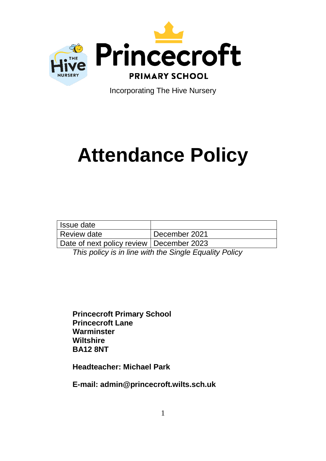

Incorporating The Hive Nursery

# **Attendance Policy**

| <b>Issue date</b>                          |                 |
|--------------------------------------------|-----------------|
| Review date                                | l December 2021 |
| Date of next policy review   December 2023 |                 |

*This policy is in line with the Single Equality Policy*

**Princecroft Primary School Princecroft Lane Warminster Wiltshire BA12 8NT**

**Headteacher: Michael Park**

**E-mail: admin@princecroft.wilts.sch.uk**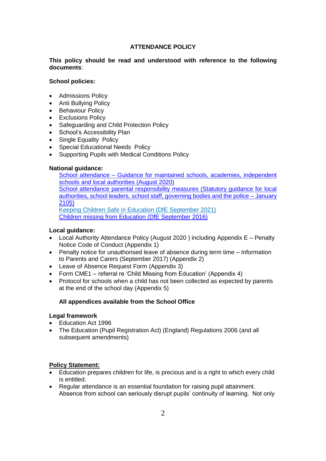## **ATTENDANCE POLICY**

## **This policy should be read and understood with reference to the following documents**:

#### **School policies:**

- Admissions Policy
- Anti Bullying Policy
- Behaviour Policy
- Exclusions Policy
- Safeguarding and Child Protection Policy
- School's Accessibility Plan
- Single Equality Policy
- Special Educational Needs Policy
- Supporting Pupils with Medical Conditions Policy

## **National guidance:**

School attendance – [Guidance for maintained schools, academies, independent](https://assets.publishing.service.gov.uk/government/uploads/system/uploads/attachment_data/file/739764/Guidance_on_school_attendance_Sept_2018.pdf) [schools and local authorities \(August 2020\)](https://assets.publishing.service.gov.uk/government/uploads/system/uploads/attachment_data/file/739764/Guidance_on_school_attendance_Sept_2018.pdf) [School attendance parental responsibility measures \(Statutory guidance for local](https://www.gov.uk/government/uploads/system/uploads/attachment_data/file/581539/School_attendance_parental_responsibility_measures_statutory_guidance.pdf)  [authorities, school leaders, school staff, governing bodies and the police –](https://www.gov.uk/government/uploads/system/uploads/attachment_data/file/581539/School_attendance_parental_responsibility_measures_statutory_guidance.pdf) January [2105\)](https://www.gov.uk/government/uploads/system/uploads/attachment_data/file/581539/School_attendance_parental_responsibility_measures_statutory_guidance.pdf) [Keeping Children Safe in Education \(DfE September 2021\)](https://assets.publishing.service.gov.uk/government/uploads/system/uploads/attachment_data/file/912592/Keeping_children_safe_in_education_Sep_2020.pdf) [Children missing from Education \(DfE September 2016\)](https://assets.publishing.service.gov.uk/government/uploads/system/uploads/attachment_data/file/550416/Children_Missing_Education_-_statutory_guidance.pdf)

## **Local guidance:**

- Local Authority Attendance Policy (August 2020 ) including Appendix E Penalty Notice Code of Conduct (Appendix 1)
- Penalty notice for unauthorised leave of absence during term time Information to Parents and Carers (September 2017) (Appendix 2)
- Leave of Absence Request Form (Appendix 3)
- Form CME1 referral re 'Child Missing from Education' (Appendix 4)
- Protocol for schools when a child has not been collected as expected by parents at the end of the school day (Appendix 5)

## **All appendices available from the School Office**

#### **Legal framework**

- Education Act 1996
- The Education (Pupil Registration Act) (England) Regulations 2006 (and all subsequent amendments)

## **Policy Statement:**

- Education prepares children for life, is precious and is a right to which every child is entitled.
- Regular attendance is an essential foundation for raising pupil attainment. Absence from school can seriously disrupt pupils' continuity of learning. Not only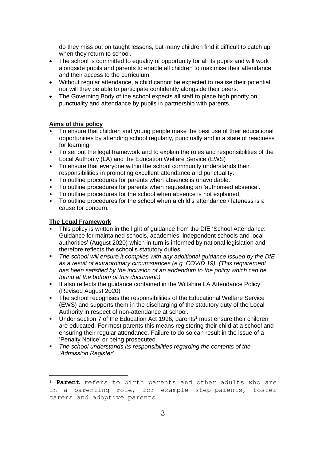do they miss out on taught lessons, but many children find it difficult to catch up when they return to school.

- The school is committed to equality of opportunity for all its pupils and will work alongside pupils and parents to enable all children to maximise their attendance and their access to the curriculum.
- Without regular attendance, a child cannot be expected to realise their potential, nor will they be able to participate confidently alongside their peers.
- The Governing Body of the school expects all staff to place high priority on punctuality and attendance by pupils in partnership with parents.

#### **Aims of this policy**

- To ensure that children and young people make the best use of their educational opportunities by attending school regularly, punctually and in a state of readiness for learning.
- To set out the legal framework and to explain the roles and responsibilities of the Local Authority (LA) and the Education Welfare Service (EWS)
- To ensure that everyone within the school community understands their responsibilities in promoting excellent attendance and punctuality.
- To outline procedures for parents when absence is unavoidable.
- To outline procedures for parents when requesting an 'authorised absence'.
- To outline procedures for the school when absence is not explained.
- To outline procedures for the school when a child's attendance / lateness is a cause for concern.

#### **The Legal Framework**

l

- This policy is written in the light of guidance from the DfE 'School Attendance: Guidance for maintained schools, academies, independent schools and local authorities' (August 2020) which in turn is informed by national legislation and therefore reflects the school's statutory duties.
- *The school will ensure it complies with any additional guidance issued by the DfE as a result of extraordinary circumstances (e.g. COVID 19). (This requirement has been satisfied by the inclusion of an addendum to the policy which can be found at the bottom of this document.)*
- It also reflects the guidance contained in the Wiltshire LA Attendance Policy (Revised August 2020)
- The school recognises the responsibilities of the Educational Welfare Service (EWS) and supports them in the discharging of the statutory duty of the Local Authority in respect of non-attendance at school.
- Under section 7 of the Education Act 1996, parents<sup>1</sup> must ensure their children are educated. For most parents this means registering their child at a school and ensuring their regular attendance. Failure to do so can result in the issue of a 'Penalty Notice' or being prosecuted.
- *The school understands its responsibilities regarding the contents of the 'Admission Register'.*

<sup>1</sup> **Parent** refers to birth parents and other adults who are in a parenting role, for example step-parents, foster carers and adoptive parents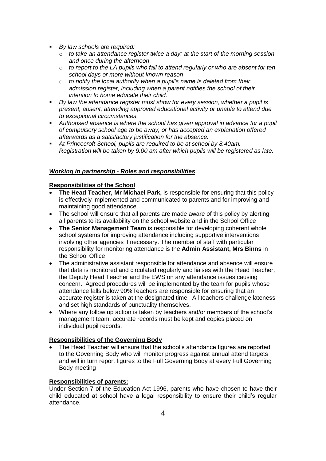- *By law schools are required:*
	- o *to take an attendance register twice a day: at the start of the morning session and once during the afternoon*
	- o *to report to the LA pupils who fail to attend regularly or who are absent for ten school days or more without known reason*
	- o *to notify the local authority when a pupil's name is deleted from their admission register, including when a parent notifies the school of their intention to home educate their child.*
- *By law the attendance register must show for every session, whether a pupil is present, absent, attending approved educational activity or unable to attend due to exceptional circumstances.*
- *Authorised absence is where the school has given approval in advance for a pupil of compulsory school age to be away, or has accepted an explanation offered afterwards as a satisfactory justification for the absence.*
- *At Princecroft School, pupils are required to be at school by 8.40am. Registration will be taken by 9.00 am after which pupils will be registered as late.*

## *Working in partnership - Roles and responsibilities*

## **Responsibilities of the School**

- **The Head Teacher, Mr Michael Park,** is responsible for ensuring that this policy is effectively implemented and communicated to parents and for improving and maintaining good attendance.
- The school will ensure that all parents are made aware of this policy by alerting all parents to its availability on the school website and in the School Office
- **The Senior Management Team** is responsible for developing coherent whole school systems for improving attendance including supportive interventions involving other agencies if necessary. The member of staff with particular responsibility for monitoring attendance is the **Admin Assistant, Mrs Binns** in the School Office
- The administrative assistant responsible for attendance and absence will ensure that data is monitored and circulated regularly and liaises with the Head Teacher, the Deputy Head Teacher and the EWS on any attendance issues causing concern. Agreed procedures will be implemented by the team for pupils whose attendance falls below 90%Teachers are responsible for ensuring that an accurate register is taken at the designated time. All teachers challenge lateness and set high standards of punctuality themselves.
- Where any follow up action is taken by teachers and/or members of the school's management team, accurate records must be kept and copies placed on individual pupil records.

## **Responsibilities of the Governing Body**

 The Head Teacher will ensure that the school's attendance figures are reported to the Governing Body who will monitor progress against annual attend targets and will in turn report figures to the Full Governing Body at every Full Governing Body meeting

## **Responsibilities of parents:**

Under Section 7 of the Education Act 1996, parents who have chosen to have their child educated at school have a legal responsibility to ensure their child's regular attendance.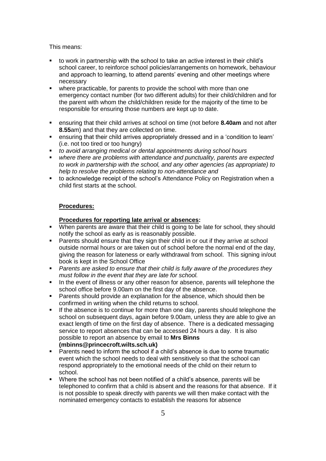This means:

- to work in partnership with the school to take an active interest in their child's school career, to reinforce school policies/arrangements on homework, behaviour and approach to learning, to attend parents' evening and other meetings where necessary
- where practicable, for parents to provide the school with more than one emergency contact number (for two different adults) for their child/children and for the parent with whom the child/children reside for the majority of the time to be responsible for ensuring those numbers are kept up to date.
- ensuring that their child arrives at school on time (not before **8.40am** and not after **8.55**am) and that they are collected on time.
- ensuring that their child arrives appropriately dressed and in a 'condition to learn' (i.e. not too tired or too hungry)
- *to avoid arranging medical or dental appointments during school hours*
- **where there are problems with attendance and punctuality, parents are expected** *to work in partnership with the school, and any other agencies (as appropriate) to help to resolve the problems relating to non-attendance and*
- to acknowledge receipt of the school's Attendance Policy on Registration when a child first starts at the school.

#### **Procedures:**

#### **Procedures for reporting late arrival or absences:**

- When parents are aware that their child is going to be late for school, they should notify the school as early as is reasonably possible.
- **Parents should ensure that they sign their child in or out if they arrive at school** outside normal hours or are taken out of school before the normal end of the day, giving the reason for lateness or early withdrawal from school. This signing in/out book is kept in the School Office
- *Parents are asked to ensure that their child is fully aware of the procedures they must follow in the event that they are late for school.*
- In the event of illness or any other reason for absence, parents will telephone the school office before 9.00am on the first day of the absence.
- Parents should provide an explanation for the absence, which should then be confirmed in writing when the child returns to school.
- If the absence is to continue for more than one day, parents should telephone the school on subsequent days, again before 9.00am, unless they are able to give an exact length of time on the first day of absence. There is a dedicated messaging service to report absences that can be accessed 24 hours a day. It is also possible to report an absence by email to **Mrs Binns (mbinns@princecroft.wilts.sch.uk)**
- Parents need to inform the school if a child's absence is due to some traumatic event which the school needs to deal with sensitively so that the school can respond appropriately to the emotional needs of the child on their return to school.
- Where the school has not been notified of a child's absence, parents will be telephoned to confirm that a child is absent and the reasons for that absence. If it is not possible to speak directly with parents we will then make contact with the nominated emergency contacts to establish the reasons for absence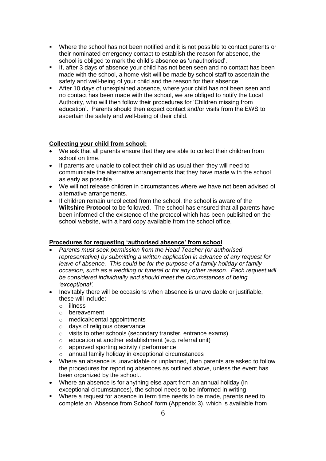- Where the school has not been notified and it is not possible to contact parents or their nominated emergency contact to establish the reason for absence, the school is obliged to mark the child's absence as 'unauthorised'.
- If, after 3 days of absence your child has not been seen and no contact has been made with the school, a home visit will be made by school staff to ascertain the safety and well-being of your child and the reason for their absence.
- After 10 days of unexplained absence, where your child has not been seen and no contact has been made with the school, we are obliged to notify the Local Authority, who will then follow their procedures for 'Children missing from education'. Parents should then expect contact and/or visits from the EWS to ascertain the safety and well-being of their child.

## **Collecting your child from school:**

- We ask that all parents ensure that they are able to collect their children from school on time.
- If parents are unable to collect their child as usual then they will need to communicate the alternative arrangements that they have made with the school as early as possible.
- We will not release children in circumstances where we have not been advised of alternative arrangements.
- If children remain uncollected from the school, the school is aware of the **Wiltshire Protocol** to be followed. The school has ensured that all parents have been informed of the existence of the protocol which has been published on the school website, with a hard copy available from the school office.

## **Procedures for requesting 'authorised absence' from school**

- *Parents must seek permission from the Head Teacher (or authorised representative) by submitting a written application in advance of any request for leave of absence. This could be for the purpose of a family holiday or family occasion, such as a wedding or funeral or for any other reason. Each request will be considered individually and should meet the circumstances of being 'exceptional'.*
- Inevitably there will be occasions when absence is unavoidable or justifiable, these will include:
	- o illness
	- o bereavement
	- o medical/dental appointments
	- o days of religious observance
	- o visits to other schools (secondary transfer, entrance exams)
	- o education at another establishment (e.g. referral unit)
	- o approved sporting activity / performance
	- o annual family holiday in exceptional circumstances
- Where an absence is unavoidable or unplanned, then parents are asked to follow the procedures for reporting absences as outlined above, unless the event has been organized by the school..
- Where an absence is for anything else apart from an annual holiday (in exceptional circumstances), the school needs to be informed in writing.
- Where a request for absence in term time needs to be made, parents need to complete an 'Absence from School' form (Appendix 3), which is available from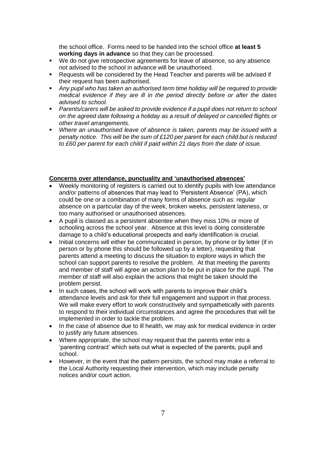the school office. Forms need to be handed into the school office **at least 5 working days in advance** so that they can be processed.

- We do not give retrospective agreements for leave of absence, so any absence not advised to the school in advance will be unauthorised.
- Requests will be considered by the Head Teacher and parents will be advised if their request has been authorised.
- *Any pupil who has taken an authorised term time holiday will be required to provide medical evidence if they are ill in the period directly before or after the dates advised to school.*
- *Parents/carers will be asked to provide evidence if a pupil does not return to school on the agreed date following a holiday as a result of delayed or cancelled flights or other travel arrangements.*
- *Where an unauthorised leave of absence is taken, parents may be issued with a penalty notice. This will be the sum of £120 per parent for each child but is reduced to £60 per parent for each child if paid within 21 days from the date of issue.*

#### **Concerns over attendance, punctuality and 'unauthorised absences'**

- Weekly monitoring of registers is carried out to identify pupils with low attendance and/or patterns of absences that may lead to 'Persistent Absence' (PA), which could be one or a combination of many forms of absence such as: regular absence on a particular day of the week, broken weeks, persistent lateness, or too many authorised or unauthorised absences.
- A pupil is classed as a persistent absentee when they miss 10% or more of schooling across the school year. Absence at this level is doing considerable damage to a child's educational prospects and early identification is crucial.
- Initial concerns will either be communicated in person, by phone or by letter (if in person or by phone this should be followed up by a letter), requesting that parents attend a meeting to discuss the situation to explore ways in which the school can support parents to resolve the problem. At that meeting the parents and member of staff will agree an action plan to be put in place for the pupil. The member of staff will also explain the actions that might be taken should the problem persist.
- In such cases, the school will work with parents to improve their child's attendance levels and ask for their full engagement and support in that process. We will make every effort to work constructively and sympathetically with parents to respond to their individual circumstances and agree the procedures that will be implemented in order to tackle the problem.
- In the case of absence due to ill health, we may ask for medical evidence in order to justify any future absences.
- Where appropriate, the school may request that the parents enter into a 'parenting contract' which sets out what is expected of the parents, pupil and school.
- However, in the event that the pattern persists, the school may make a referral to the Local Authority requesting their intervention, which may include penalty notices and/or court action.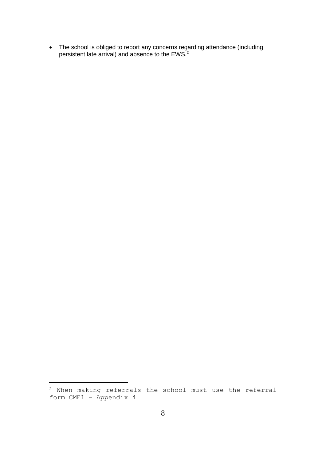The school is obliged to report any concerns regarding attendance (including persistent late arrival) and absence to the EWS.<sup>2</sup>

l

<sup>2</sup> When making referrals the school must use the referral form CME1 – Appendix 4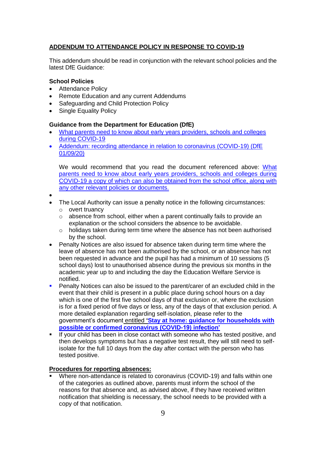## **ADDENDUM TO ATTENDANCE POLICY IN RESPONSE TO COVID-19**

This addendum should be read in conjunction with the relevant school policies and the latest DfE Guidance:

## **School Policies**

- Attendance Policy
- Remote Education and any current Addendums
- Safeguarding and Child Protection Policy
- Single Equality Policy

#### **Guidance from the Department for Education (DfE)**

- [What parents need to know about early years providers, schools and colleges](https://www.gov.uk/government/publications/what-parents-and-carers-need-to-know-about-early-years-providers-schools-and-colleges-during-the-coronavirus-covid-19-outbreak/what-parents-need-to-know-about-early-years-providers-schools-and-colleges-during-covid-19)  [during COVID-19](https://www.gov.uk/government/publications/what-parents-and-carers-need-to-know-about-early-years-providers-schools-and-colleges-during-the-coronavirus-covid-19-outbreak/what-parents-need-to-know-about-early-years-providers-schools-and-colleges-during-covid-19)
- [Addendum: recording attendance in relation to coronavirus \(COVID-19\) \(DfE](https://www.gov.uk/government/publications/school-attendance/addendum-recording-attendance-in-relation-to-coronavirus-covid-19-during-the-2020-to-2021-academic-year)  [01/09/20\)](https://www.gov.uk/government/publications/school-attendance/addendum-recording-attendance-in-relation-to-coronavirus-covid-19-during-the-2020-to-2021-academic-year)

We would recommend that you read the document referenced above: [What](https://www.gov.uk/government/publications/what-parents-and-carers-need-to-know-about-early-years-providers-schools-and-colleges-during-the-coronavirus-covid-19-outbreak/what-parents-need-to-know-about-early-years-providers-schools-and-colleges-during-covid-19)  [parents need to know about early years providers, schools and colleges during](https://www.gov.uk/government/publications/what-parents-and-carers-need-to-know-about-early-years-providers-schools-and-colleges-during-the-coronavirus-covid-19-outbreak/what-parents-need-to-know-about-early-years-providers-schools-and-colleges-during-covid-19)  [COVID-19](https://www.gov.uk/government/publications/what-parents-and-carers-need-to-know-about-early-years-providers-schools-and-colleges-during-the-coronavirus-covid-19-outbreak/what-parents-need-to-know-about-early-years-providers-schools-and-colleges-during-covid-19) a copy of which can also be obtained from the school office, along with any other relevant policies or documents.

- $\bullet$
- The Local Authority can issue a penalty notice in the following circumstances:
	- o overt truancy
	- o absence from school, either when a parent continually fails to provide an explanation or the school considers the absence to be avoidable.
	- o holidays taken during term time where the absence has not been authorised by the school.
- Penalty Notices are also issued for absence taken during term time where the leave of absence has not been authorised by the school, or an absence has not been requested in advance and the pupil has had a minimum of 10 sessions (5 school days) lost to unauthorised absence during the previous six months in the academic year up to and including the day the Education Welfare Service is notified.
- **Penalty Notices can also be issued to the parent/carer of an excluded child in the** event that their child is present in a public place during school hours on a day which is one of the first five school days of that exclusion or, where the exclusion is for a fixed period of five days or less, any of the days of that exclusion period. A more detailed explanation regarding self-isolation, please refer to the government's document entitled **['Stay at home: guidance for households with](https://www.gov.uk/government/publications/covid-19-stay-at-home-guidance/stay-at-home-guidance-for-households-with-possible-coronavirus-covid-19-infection)  [possible or confirmed coronavirus \(COVID-19\) infection'](https://www.gov.uk/government/publications/covid-19-stay-at-home-guidance/stay-at-home-guidance-for-households-with-possible-coronavirus-covid-19-infection)**
- If your child has been in close contact with someone who has tested positive, and then develops symptoms but has a negative test result, they will still need to selfisolate for the full 10 days from the day after contact with the person who has tested positive.

#### **Procedures for reporting absences:**

 Where non-attendance is related to coronavirus (COVID-19) and falls within one of the categories as outlined above, parents must inform the school of the reasons for that absence and, as advised above, if they have received written notification that shielding is necessary, the school needs to be provided with a copy of that notification.